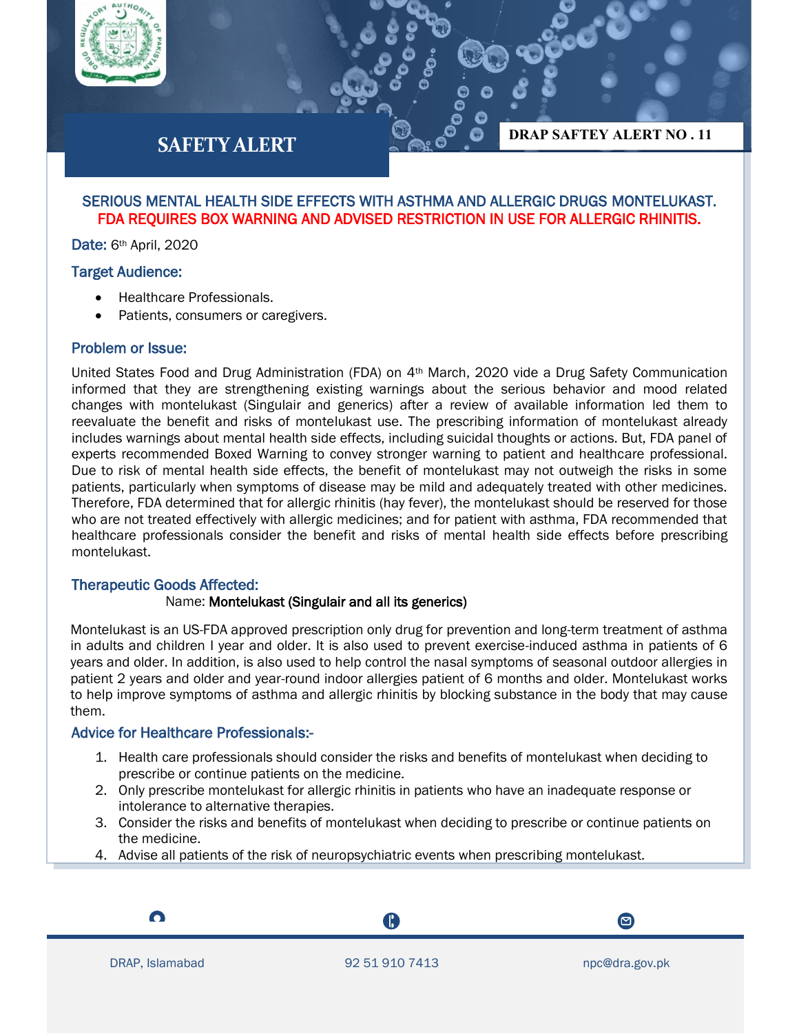

# **SAFETY ALERT**

## SERIOUS MENTAL HEALTH SIDE EFFECTS WITH ASTHMA AND ALLERGIC DRUGS MONTELUKAST. FDA REQUIRES BOX WARNING AND ADVISED RESTRICTION IN USE FOR ALLERGIC RHINITIS.

Date: 6<sup>th</sup> April, 2020

## Target Audience:

- Healthcare Professionals.
- Patients, consumers or caregivers.

## Problem or Issue:

United States Food and Drug Administration (FDA) on 4th March, 2020 vide a Drug Safety Communication informed that they are strengthening existing warnings about the serious behavior and mood related changes with montelukast (Singulair and generics) after a review of available information led them to reevaluate the benefit and risks of montelukast use. The prescribing information of montelukast already includes warnings about mental health side effects, including suicidal thoughts or actions. But, FDA panel of experts recommended Boxed Warning to convey stronger warning to patient and healthcare professional. Due to risk of mental health side effects, the benefit of montelukast may not outweigh the risks in some patients, particularly when symptoms of disease may be mild and adequately treated with other medicines. Therefore, FDA determined that for allergic rhinitis (hay fever), the montelukast should be reserved for those who are not treated effectively with allergic medicines; and for patient with asthma, FDA recommended that healthcare professionals consider the benefit and risks of mental health side effects before prescribing montelukast.

#### Therapeutic Goods Affected:

#### Name: Montelukast (Singulair and all its generics)

Montelukast is an US-FDA approved prescription only drug for prevention and long-term treatment of asthma in adults and children I year and older. It is also used to prevent exercise-induced asthma in patients of 6 years and older. In addition, is also used to help control the nasal symptoms of seasonal outdoor allergies in patient 2 years and older and year-round indoor allergies patient of 6 months and older. Montelukast works to help improve symptoms of asthma and allergic rhinitis by blocking substance in the body that may cause them.

## Advice for Healthcare Professionals:-

- 1. Health care professionals should consider the risks and benefits of montelukast when deciding to prescribe or continue patients on the medicine.
- 2. Only prescribe montelukast for allergic rhinitis in patients who have an inadequate response or intolerance to alternative therapies.
- 3. Consider the risks and benefits of montelukast when deciding to prescribe or continue patients on the medicine.
- 4. Advise all patients of the risk of neuropsychiatric events when prescribing montelukast.

I

A

 $\boldsymbol{\Xi}$ 

**DRAP SAFTEY ALERT NO . 11**